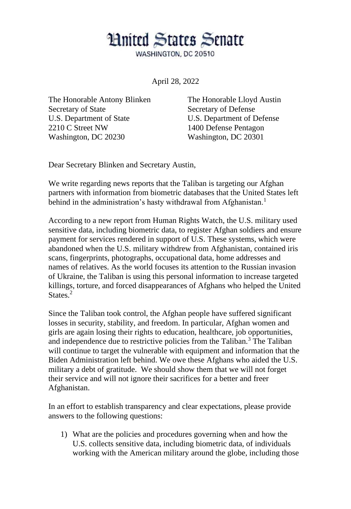## **Hnited States Senate**

WASHINGTON, DC 20510

April 28, 2022

The Honorable Antony Blinken Secretary of State U.S. Department of State 2210 C Street NW Washington, DC 20230

The Honorable Lloyd Austin Secretary of Defense U.S. Department of Defense 1400 Defense Pentagon Washington, DC 20301

Dear Secretary Blinken and Secretary Austin,

We write regarding news reports that the Taliban is targeting our Afghan partners with information from biometric databases that the United States left behind in the administration's hasty withdrawal from Afghanistan.<sup>1</sup>

According to a new report from Human Rights Watch, the U.S. military used sensitive data, including biometric data, to register Afghan soldiers and ensure payment for services rendered in support of U.S. These systems, which were abandoned when the U.S. military withdrew from Afghanistan, contained iris scans, fingerprints, photographs, occupational data, home addresses and names of relatives. As the world focuses its attention to the Russian invasion of Ukraine, the Taliban is using this personal information to increase targeted killings, torture, and forced disappearances of Afghans who helped the United States.<sup>2</sup>

Since the Taliban took control, the Afghan people have suffered significant losses in security, stability, and freedom. In particular, Afghan women and girls are again losing their rights to education, healthcare, job opportunities, and independence due to restrictive policies from the Taliban.<sup>3</sup> The Taliban will continue to target the vulnerable with equipment and information that the Biden Administration left behind. We owe these Afghans who aided the U.S. military a debt of gratitude. We should show them that we will not forget their service and will not ignore their sacrifices for a better and freer Afghanistan.

In an effort to establish transparency and clear expectations, please provide answers to the following questions:

1) What are the policies and procedures governing when and how the U.S. collects sensitive data, including biometric data, of individuals working with the American military around the globe, including those